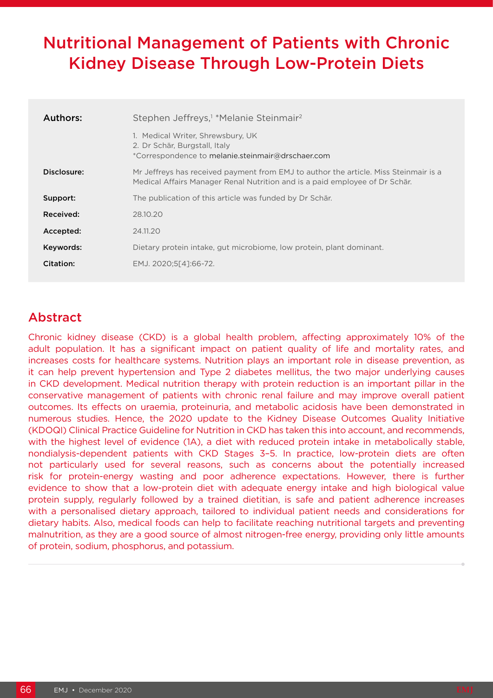# Nutritional Management of Patients with Chronic Kidney Disease Through Low-Protein Diets

| Authors:    | Stephen Jeffreys, <sup>1</sup> *Melanie Steinmair <sup>2</sup>                                                                                                      |
|-------------|---------------------------------------------------------------------------------------------------------------------------------------------------------------------|
|             | 1. Medical Writer, Shrewsbury, UK<br>2. Dr Schär, Burgstall, Italy<br>*Correspondence to melanie.steinmair@drschaer.com                                             |
| Disclosure: | Mr Jeffreys has received payment from EMJ to author the article. Miss Steinmair is a<br>Medical Affairs Manager Renal Nutrition and is a paid employee of Dr Schär. |
| Support:    | The publication of this article was funded by Dr Schär.                                                                                                             |
| Received:   | 28.10.20                                                                                                                                                            |
| Accepted:   | 24,11,20                                                                                                                                                            |
| Keywords:   | Dietary protein intake, gut microbiome, low protein, plant dominant.                                                                                                |
| Citation:   | EMJ. 2020;5[4]:66-72.                                                                                                                                               |

# Abstract

Chronic kidney disease (CKD) is a global health problem, affecting approximately 10% of the adult population. It has a significant impact on patient quality of life and mortality rates, and increases costs for healthcare systems. Nutrition plays an important role in disease prevention, as it can help prevent hypertension and Type 2 diabetes mellitus, the two major underlying causes in CKD development. Medical nutrition therapy with protein reduction is an important pillar in the conservative management of patients with chronic renal failure and may improve overall patient outcomes. Its effects on uraemia, proteinuria, and metabolic acidosis have been demonstrated in numerous studies. Hence, the 2020 update to the Kidney Disease Outcomes Quality Initiative (KDOQI) Clinical Practice Guideline for Nutrition in CKD has taken this into account, and recommends, with the highest level of evidence (1A), a diet with reduced protein intake in metabolically stable, nondialysis-dependent patients with CKD Stages 3–5. In practice, low-protein diets are often not particularly used for several reasons, such as concerns about the potentially increased risk for protein-energy wasting and poor adherence expectations. However, there is further evidence to show that a low-protein diet with adequate energy intake and high biological value protein supply, regularly followed by a trained dietitian, is safe and patient adherence increases with a personalised dietary approach, tailored to individual patient needs and considerations for dietary habits. Also, medical foods can help to facilitate reaching nutritional targets and preventing malnutrition, as they are a good source of almost nitrogen-free energy, providing only little amounts of protein, sodium, phosphorus, and potassium.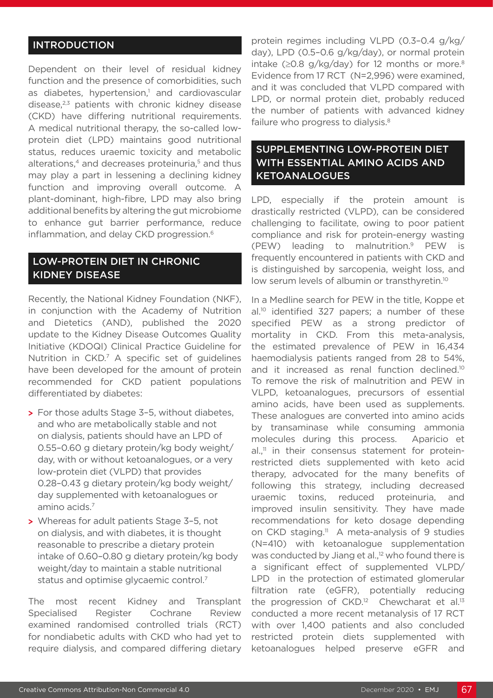#### INTRODUCTION

Dependent on their level of residual kidney function and the presence of comorbidities, such as diabetes, hypertension,<sup>1</sup> and cardiovascular disease, $2,3$  patients with chronic kidney disease (CKD) have differing nutritional requirements. A medical nutritional therapy, the so-called lowprotein diet (LPD) maintains good nutritional status, reduces uraemic toxicity and metabolic alterations,<sup>4</sup> and decreases proteinuria,<sup>5</sup> and thus may play a part in lessening a declining kidney function and improving overall outcome. A plant-dominant, high-fibre, LPD may also bring additional benefits by altering the gut microbiome to enhance gut barrier performance, reduce inflammation, and delay CKD progression.<sup>6</sup>

#### LOW-PROTEIN DIET IN CHRONIC KIDNEY DISEASE

Recently, the National Kidney Foundation (NKF), in conjunction with the Academy of Nutrition and Dietetics (AND), published the 2020 update to the Kidney Disease Outcomes Quality Initiative (KDOQI) Clinical Practice Guideline for Nutrition in CKD.7 A specific set of guidelines have been developed for the amount of protein recommended for CKD patient populations differentiated by diabetes:

- **>** For those adults Stage 3–5, without diabetes, and who are metabolically stable and not on dialysis, patients should have an LPD of 0.55–0.60 g dietary protein/kg body weight/ day, with or without ketoanalogues, or a very low-protein diet (VLPD) that provides 0.28–0.43 g dietary protein/kg body weight/ day supplemented with ketoanalogues or amino acids.7
- **>** Whereas for adult patients Stage 3–5, not on dialysis, and with diabetes, it is thought reasonable to prescribe a dietary protein intake of 0.60–0.80 g dietary protein/kg body weight/day to maintain a stable nutritional status and optimise glycaemic control.7

The most recent Kidney and Transplant Specialised Register Cochrane Review examined randomised controlled trials (RCT) for nondiabetic adults with CKD who had yet to require dialysis, and compared differing dietary

protein regimes including VLPD (0.3–0.4 g/kg/ day), LPD (0.5–0.6 g/kg/day), or normal protein intake ( $≥0.8$  g/kg/day) for 12 months or more.<sup>8</sup> Evidence from 17 RCT (N=2,996) were examined, and it was concluded that VLPD compared with LPD, or normal protein diet, probably reduced the number of patients with advanced kidney failure who progress to dialysis.<sup>8</sup>

#### SUPPLEMENTING LOW-PROTEIN DIET WITH ESSENTIAL AMINO ACIDS AND KETOANALOGUES

LPD, especially if the protein amount is drastically restricted (VLPD), can be considered challenging to facilitate, owing to poor patient compliance and risk for protein-energy wasting (PEW) leading to malnutrition.9 PEW is frequently encountered in patients with CKD and is distinguished by sarcopenia, weight loss, and low serum levels of albumin or transthyretin.<sup>10</sup>

In a Medline search for PEW in the title, Koppe et al.10 identified 327 papers; a number of these specified PEW as a strong predictor of mortality in CKD. From this meta-analysis, the estimated prevalence of PEW in 16,434 haemodialysis patients ranged from 28 to 54%, and it increased as renal function declined.10 To remove the risk of malnutrition and PEW in VLPD, ketoanalogues, precursors of essential amino acids, have been used as supplements. These analogues are converted into amino acids by transaminase while consuming ammonia molecules during this process. Aparicio et  $al_{n}$ <sup>11</sup> in their consensus statement for proteinrestricted diets supplemented with keto acid therapy, advocated for the many benefits of following this strategy, including decreased uraemic toxins, reduced proteinuria, and improved insulin sensitivity. They have made recommendations for keto dosage depending on CKD staging.<sup>11</sup> A meta-analysis of 9 studies (N=410) with ketoanalogue supplementation was conducted by Jiang et al.,<sup>12</sup> who found there is a significant effect of supplemented VLPD/ LPD in the protection of estimated glomerular filtration rate (eGFR), potentially reducing the progression of  $CKD$ .<sup>12</sup> Chewcharat et al.<sup>13</sup> conducted a more recent metanalysis of 17 RCT with over 1,400 patients and also concluded restricted protein diets supplemented with ketoanalogues helped preserve eGFR and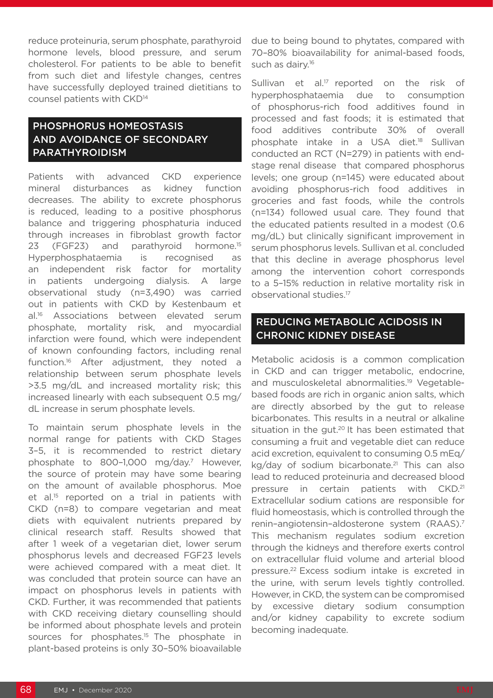reduce proteinuria, serum phosphate, parathyroid hormone levels, blood pressure, and serum cholesterol. For patients to be able to benefit from such diet and lifestyle changes, centres have successfully deployed trained dietitians to counsel patients with CKD<sup>14</sup>

## PHOSPHORUS HOMEOSTASIS AND AVOIDANCE OF SECONDARY PARATHYROIDISM

Patients with advanced CKD experience mineral disturbances as kidney function decreases. The ability to excrete phosphorus is reduced, leading to a positive phosphorus balance and triggering phosphaturia induced through increases in fibroblast growth factor 23 (FGF23) and parathyroid hormone.<sup>15</sup> Hyperphosphataemia is recognised as an independent risk factor for mortality in patients undergoing dialysis. A large observational study (n=3,490) was carried out in patients with CKD by Kestenbaum et al.16 Associations between elevated serum phosphate, mortality risk, and myocardial infarction were found, which were independent of known confounding factors, including renal function.16 After adjustment, they noted a relationship between serum phosphate levels >3.5 mg/dL and increased mortality risk; this increased linearly with each subsequent 0.5 mg/ dL increase in serum phosphate levels.

To maintain serum phosphate levels in the normal range for patients with CKD Stages 3–5, it is recommended to restrict dietary phosphate to 800–1,000 mg/day.7 However, the source of protein may have some bearing on the amount of available phosphorus. Moe et al.<sup>15</sup> reported on a trial in patients with CKD (n=8) to compare vegetarian and meat diets with equivalent nutrients prepared by clinical research staff. Results showed that after 1 week of a vegetarian diet, lower serum phosphorus levels and decreased FGF23 levels were achieved compared with a meat diet. It was concluded that protein source can have an impact on phosphorus levels in patients with CKD. Further, it was recommended that patients with CKD receiving dietary counselling should be informed about phosphate levels and protein sources for phosphates.<sup>15</sup> The phosphate in plant-based proteins is only 30–50% bioavailable

due to being bound to phytates, compared with 70–80% bioavailability for animal-based foods, such as dairy.<sup>16</sup>

Sullivan et al.<sup>17</sup> reported on the risk of hyperphosphataemia due to consumption of phosphorus-rich food additives found in processed and fast foods; it is estimated that food additives contribute 30% of overall phosphate intake in a USA diet.18 Sullivan conducted an RCT (N=279) in patients with endstage renal disease that compared phosphorus levels; one group (n=145) were educated about avoiding phosphorus-rich food additives in groceries and fast foods, while the controls (n=134) followed usual care. They found that the educated patients resulted in a modest (0.6 mg/dL) but clinically significant improvement in serum phosphorus levels. Sullivan et al. concluded that this decline in average phosphorus level among the intervention cohort corresponds to a 5–15% reduction in relative mortality risk in observational studies.17

#### REDUCING METABOLIC ACIDOSIS IN CHRONIC KIDNEY DISEASE

Metabolic acidosis is a common complication in CKD and can trigger metabolic, endocrine, and musculoskeletal abnormalities.19 Vegetablebased foods are rich in organic anion salts, which are directly absorbed by the gut to release bicarbonates. This results in a neutral or alkaline situation in the gut.<sup>20</sup> It has been estimated that consuming a fruit and vegetable diet can reduce acid excretion, equivalent to consuming 0.5 mEq/ kg/day of sodium bicarbonate.<sup>21</sup> This can also lead to reduced proteinuria and decreased blood pressure in certain patients with CKD.<sup>21</sup> Extracellular sodium cations are responsible for fluid homeostasis, which is controlled through the renin–angiotensin–aldosterone system (RAAS).7 This mechanism regulates sodium excretion through the kidneys and therefore exerts control on extracellular fluid volume and arterial blood pressure.22 Excess sodium intake is excreted in the urine, with serum levels tightly controlled. However, in CKD, the system can be compromised by excessive dietary sodium consumption and/or kidney capability to excrete sodium becoming inadequate.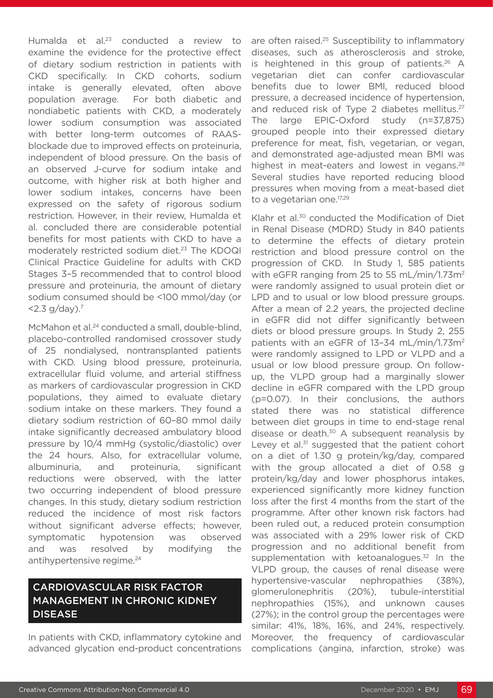Humalda et al.<sup>23</sup> conducted a review to examine the evidence for the protective effect of dietary sodium restriction in patients with CKD specifically. In CKD cohorts, sodium intake is generally elevated, often above population average. For both diabetic and nondiabetic patients with CKD, a moderately lower sodium consumption was associated with better long-term outcomes of RAASblockade due to improved effects on proteinuria, independent of blood pressure. On the basis of an observed J-curve for sodium intake and outcome, with higher risk at both higher and lower sodium intakes, concerns have been expressed on the safety of rigorous sodium restriction. However, in their review, Humalda et al. concluded there are considerable potential benefits for most patients with CKD to have a moderately restricted sodium diet.23 The KDOQI Clinical Practice Guideline for adults with CKD Stages 3–5 recommended that to control blood pressure and proteinuria, the amount of dietary sodium consumed should be <100 mmol/day (or  $<$  2.3 g/day).<sup>7</sup>

McMahon et al.<sup>24</sup> conducted a small, double-blind, placebo-controlled randomised crossover study of 25 nondialysed, nontransplanted patients with CKD. Using blood pressure, proteinuria, extracellular fluid volume, and arterial stiffness as markers of cardiovascular progression in CKD populations, they aimed to evaluate dietary sodium intake on these markers. They found a dietary sodium restriction of 60–80 mmol daily intake significantly decreased ambulatory blood pressure by 10/4 mmHg (systolic/diastolic) over the 24 hours. Also, for extracellular volume, albuminuria, and proteinuria, significant reductions were observed, with the latter two occurring independent of blood pressure changes. In this study, dietary sodium restriction reduced the incidence of most risk factors without significant adverse effects; however, symptomatic hypotension was observed and was resolved by modifying the antihypertensive regime.24

### CARDIOVASCULAR RISK FACTOR MANAGEMENT IN CHRONIC KIDNEY DISEASE

In patients with CKD, inflammatory cytokine and advanced glycation end-product concentrations

are often raised.<sup>25</sup> Susceptibility to inflammatory diseases, such as atherosclerosis and stroke, is heightened in this group of patients. $26$  A vegetarian diet can confer cardiovascular benefits due to lower BMI, reduced blood pressure, a decreased incidence of hypertension, and reduced risk of Type 2 diabetes mellitus.<sup>27</sup> The large EPIC-Oxford study (n=37,875) grouped people into their expressed dietary preference for meat, fish, vegetarian, or vegan, and demonstrated age-adjusted mean BMI was highest in meat-eaters and lowest in vegans.<sup>28</sup> Several studies have reported reducing blood pressures when moving from a meat-based diet to a vegetarian one.<sup>17,29</sup>

Klahr et al.<sup>30</sup> conducted the Modification of Diet in Renal Disease (MDRD) Study in 840 patients to determine the effects of dietary protein restriction and blood pressure control on the progression of CKD. In Study 1, 585 patients with eGFR ranging from 25 to 55 mL/min/1.73m<sup>2</sup> were randomly assigned to usual protein diet or LPD and to usual or low blood pressure groups. After a mean of 2.2 years, the projected decline in eGFR did not differ significantly between diets or blood pressure groups. In Study 2, 255 patients with an eGFR of 13-34 mL/min/1.73m<sup>2</sup> were randomly assigned to LPD or VLPD and a usual or low blood pressure group. On followup, the VLPD group had a marginally slower decline in eGFR compared with the LPD group (p=0.07). In their conclusions, the authors stated there was no statistical difference between diet groups in time to end-stage renal disease or death. $30$  A subsequent reanalysis by Levey et al. $31$  suggested that the patient cohort on a diet of 1.30 g protein/kg/day, compared with the group allocated a diet of 0.58 g protein/kg/day and lower phosphorus intakes, experienced significantly more kidney function loss after the first 4 months from the start of the programme. After other known risk factors had been ruled out, a reduced protein consumption was associated with a 29% lower risk of CKD progression and no additional benefit from supplementation with ketoanalogues.<sup>32</sup> In the VLPD group, the causes of renal disease were hypertensive-vascular nephropathies (38%), glomerulonephritis (20%), tubule-interstitial nephropathies (15%), and unknown causes (27%); in the control group the percentages were similar: 41%, 18%, 16%, and 24%, respectively. Moreover, the frequency of cardiovascular complications (angina, infarction, stroke) was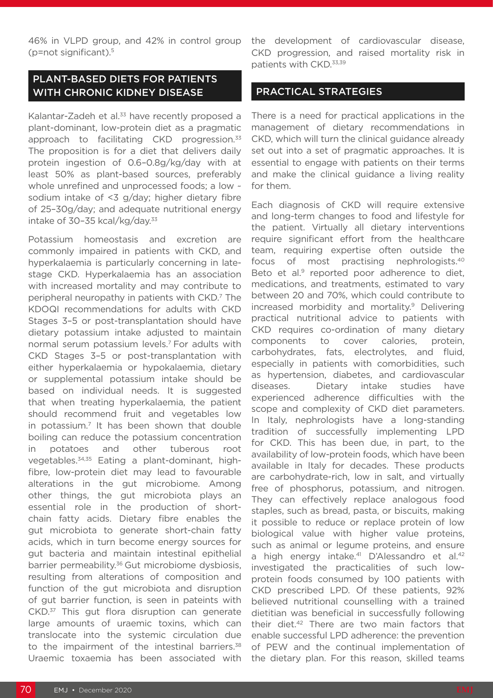(p=not significant).5

#### PLANT-BASED DIETS FOR PATIENTS WITH CHRONIC KIDNEY DISEASE

Kalantar-Zadeh et al.<sup>33</sup> have recently proposed a plant-dominant, low-protein diet as a pragmatic approach to facilitating CKD progression.<sup>33</sup> The proposition is for a diet that delivers daily protein ingestion of 0.6–0.8g/kg/day with at least 50% as plant-based sources, preferably whole unrefined and unprocessed foods; a low  $\sim$ sodium intake of <3 g/day; higher dietary fibre of 25–30g/day; and adequate nutritional energy intake of 30–35 kcal/kg/day. $33$ 

Potassium homeostasis and excretion are commonly impaired in patients with CKD, and hyperkalaemia is particularly concerning in latestage CKD. Hyperkalaemia has an association with increased mortality and may contribute to peripheral neuropathy in patients with CKD.7 The KDOQI recommendations for adults with CKD Stages 3–5 or post-transplantation should have dietary potassium intake adjusted to maintain normal serum potassium levels.7 For adults with CKD Stages 3–5 or post-transplantation with either hyperkalaemia or hypokalaemia, dietary or supplemental potassium intake should be based on individual needs. It is suggested that when treating hyperkalaemia, the patient should recommend fruit and vegetables low in potassium.<sup>7</sup> It has been shown that double boiling can reduce the potassium concentration in potatoes and other tuberous root vegetables.34,35 Eating a plant-dominant, highfibre, low-protein diet may lead to favourable alterations in the gut microbiome. Among other things, the gut microbiota plays an essential role in the production of shortchain fatty acids. Dietary fibre enables the gut microbiota to generate short-chain fatty acids, which in turn become energy sources for gut bacteria and maintain intestinal epithelial barrier permeability.<sup>36</sup> Gut microbiome dysbiosis, resulting from alterations of composition and function of the gut microbiota and disruption of gut barrier function, is seen in pateints with CKD.<sup>37</sup> This gut flora disruption can generate large amounts of uraemic toxins, which can translocate into the systemic circulation due to the impairment of the intestinal barriers.<sup>38</sup> Uraemic toxaemia has been associated with

#### PRACTICAL STRATEGIES

There is a need for practical applications in the management of dietary recommendations in CKD, which will turn the clinical guidance already set out into a set of pragmatic approaches. It is essential to engage with patients on their terms and make the clinical guidance a living reality for them.

Each diagnosis of CKD will require extensive and long-term changes to food and lifestyle for the patient. Virtually all dietary interventions require significant effort from the healthcare team, requiring expertise often outside the focus of most practising nephrologists.40 Beto et al.<sup>9</sup> reported poor adherence to diet, medications, and treatments, estimated to vary between 20 and 70%, which could contribute to increased morbidity and mortality.<sup>9</sup> Delivering practical nutritional advice to patients with CKD requires co-ordination of many dietary components to cover calories, protein, carbohydrates, fats, electrolytes, and fluid, especially in patients with comorbidities, such as hypertension, diabetes, and cardiovascular diseases. Dietary intake studies have experienced adherence difficulties with the scope and complexity of CKD diet parameters. In Italy, nephrologists have a long-standing tradition of successfully implementing LPD for CKD. This has been due, in part, to the availability of low-protein foods, which have been available in Italy for decades. These products are carbohydrate-rich, low in salt, and virtually free of phosphorus, potassium, and nitrogen. They can effectively replace analogous food staples, such as bread, pasta, or biscuits, making it possible to reduce or replace protein of low biological value with higher value proteins, such as animal or legume proteins, and ensure a high energy intake.<sup>41</sup> D'Alessandro et al.<sup>42</sup> investigated the practicalities of such lowprotein foods consumed by 100 patients with CKD prescribed LPD. Of these patients, 92% believed nutritional counselling with a trained dietitian was beneficial in successfully following their diet.42 There are two main factors that enable successful LPD adherence: the prevention of PEW and the continual implementation of the dietary plan. For this reason, skilled teams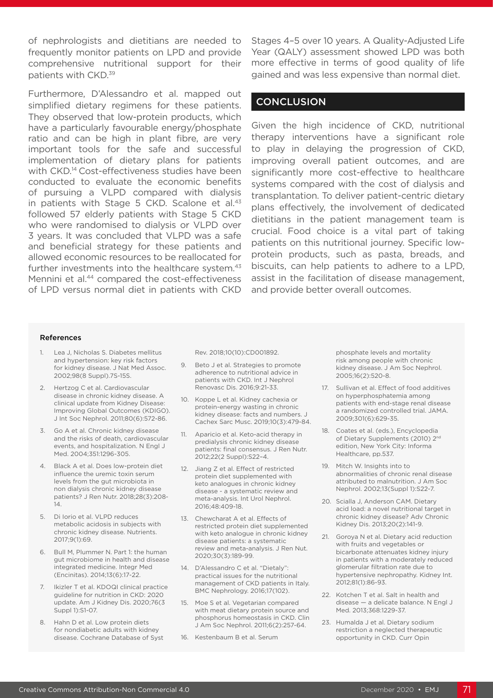of nephrologists and dietitians are needed to frequently monitor patients on LPD and provide comprehensive nutritional support for their patients with CKD.39

Furthermore, D'Alessandro et al. mapped out simplified dietary regimens for these patients. They observed that low-protein products, which have a particularly favourable energy/phosphate ratio and can be high in plant fibre, are very important tools for the safe and successful implementation of dietary plans for patients with CKD.<sup>14</sup> Cost-effectiveness studies have been conducted to evaluate the economic benefits of pursuing a VLPD compared with dialysis in patients with Stage 5 CKD. Scalone et al.<sup>43</sup> followed 57 elderly patients with Stage 5 CKD who were randomised to dialysis or VLPD over 3 years. It was concluded that VLPD was a safe and beneficial strategy for these patients and allowed economic resources to be reallocated for further investments into the healthcare system.<sup>43</sup> Mennini et al.<sup>44</sup> compared the cost-effectiveness of LPD versus normal diet in patients with CKD

Stages 4–5 over 10 years. A Quality-Adjusted Life Year (QALY) assessment showed LPD was both more effective in terms of good quality of life gained and was less expensive than normal diet.

#### **CONCLUSION**

Given the high incidence of CKD, nutritional therapy interventions have a significant role to play in delaying the progression of CKD, improving overall patient outcomes, and are significantly more cost-effective to healthcare systems compared with the cost of dialysis and transplantation. To deliver patient-centric dietary plans effectively, the involvement of dedicated dietitians in the patient management team is crucial. Food choice is a vital part of taking patients on this nutritional journey. Specific lowprotein products, such as pasta, breads, and biscuits, can help patients to adhere to a LPD, assist in the facilitation of disease management, and provide better overall outcomes.

#### References

- 1. Lea J, Nicholas S. Diabetes mellitus and hypertension: key risk factors for kidney disease. J Nat Med Assoc. 2002;98(8 Suppl).7S-15S.
- 2. Hertzog C et al. Cardiovascular disease in chronic kidney disease. A clinical update from Kidney Disease: Improving Global Outcomes (KDIGO). J Int Soc Nephrol. 2011;80(6):572-86.
- 3. Go A et al. Chronic kidney disease and the risks of death, cardiovascular events, and hospitalization. N Engl J Med. 2004;351:1296-305.
- 4. Black A et al. Does low-protein diet influence the uremic toxin serum levels from the gut microbiota in non dialysis chronic kidney disease patients? J Ren Nutr. 2018;28(3):208- 14.
- 5. Di Iorio et al. VLPD reduces metabolic acidosis in subjects with chronic kidney disease. Nutrients. 2017;9(1):69.
- 6. Bull M, Plummer N. Part 1: the human gut microbiome in health and disease integrated medicine. Integr Med (Encinitas). 2014;13(6):17-22.
- 7. Ikizler T et al. KDOQI clinical practice guideline for nutrition in CKD: 2020 update. Am J Kidney Dis. 2020;76(3 Suppl 1):S1-07.
- 8. Hahn D et al. Low protein diets for nondiabetic adults with kidney disease. Cochrane Database of Syst

Rev. 2018;10(10):CD001892.

- 9. Beto J et al. Strategies to promote adherence to nutritional advice in patients with CKD. Int J Nephrol Renovasc Dis. 2016;9:21-33.
- 10. Koppe L et al. Kidney cachexia or protein-energy wasting in chronic kidney disease: facts and numbers. J Cachex Sarc Musc. 2019;10(3):479-84.
- 11. Aparicio et al. Keto-acid therapy in predialysis chronic kidney disease patients: final consensus. J Ren Nutr. 2012;22(2 Suppl):S22–4.
- 12. Jiang Z et al. Effect of restricted protein diet supplemented with keto analogues in chronic kidney disease - a systematic review and meta-analysis. Int Urol Nephrol. 2016;48:409-18.
- 13. Chewcharat A et al. Effects of restricted protein diet supplemented with keto analogue in chronic kidney disease patients: a systematic review and meta-analysis. J Ren Nut. 2020;30(3):189-99.
- 14. D'Alessandro C et al. "Dietaly": practical issues for the nutritional management of CKD patients in Italy. BMC Nephrology. 2016;17(102).
- 15. Moe S et al. Vegetarian compared with meat dietary protein source and phosphorus homeostasis in CKD. Clin J Am Soc Nephrol. 2011;6(2):257-64.
- 16. Kestenbaum B et al. Serum

phosphate levels and mortality risk among people with chronic kidney disease. J Am Soc Nephrol. 2005;16(2):520-8.

- 17. Sullivan et al. Effect of food additives on hyperphosphatemia among patients with end-stage renal disease a randomized controlled trial. JAMA. 2009;301(6):629-35.
- 18. Coates et al. (eds.), Encyclopedia of Dietary Supplements (2010) 2<sup>nd</sup> edition, New York City: Informa Healthcare, pp.537.
- 19. Mitch W. Insights into to abnormalities of chronic renal disease attributed to malnutrition. J Am Soc Nephrol. 2002;13(Suppl 1):S22-7.
- 20. Scialla J, Anderson CAM. Dietary acid load: a novel nutritional target in chronic kidney disease? Adv Chronic Kidney Dis. 2013;20(2):141-9.
- 21. Goroya N et al. Dietary acid reduction with fruits and vegetables or bicarbonate attenuates kidney injury in patients with a moderately reduced glomerular filtration rate due to hypertensive nephropathy. Kidney Int. 2012;81(1):86-93.
- 22. Kotchen T et al. Salt in health and disease — a delicate balance. N Engl J Med. 2013;368:1229-37.
- 23. Humalda J et al. Dietary sodium restriction a neglected therapeutic opportunity in CKD. Curr Opin